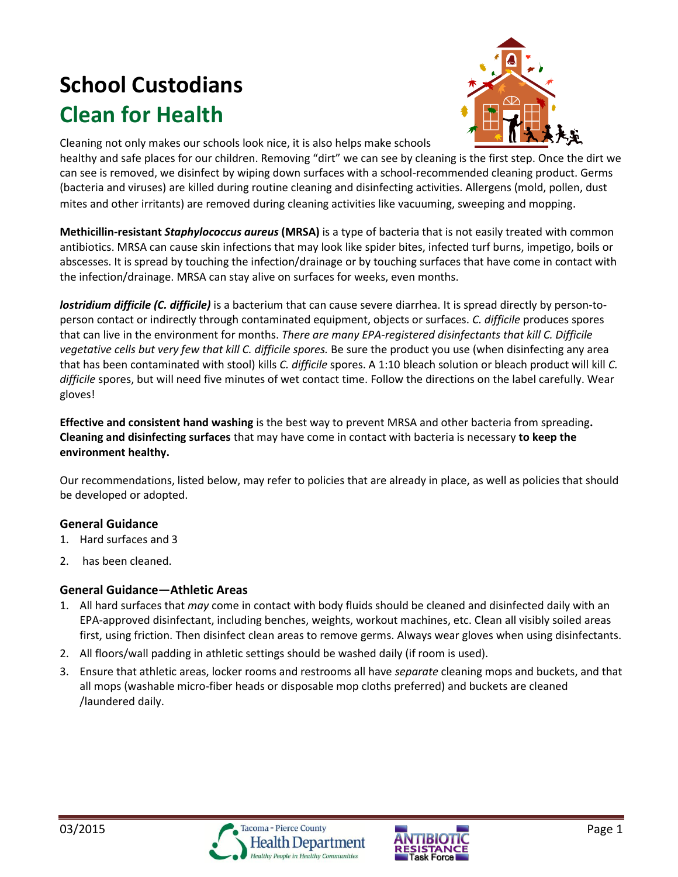# **School Custodians Clean for Health**



Cleaning not only makes our schools look nice, it is also helps make schools

healthy and safe places for our children. Removing "dirt" we can see by cleaning is the first step. Once the dirt we can see is removed, we disinfect by wiping down surfaces with a school-recommended cleaning product. Germs (bacteria and viruses) are killed during routine cleaning and disinfecting activities. Allergens (mold, pollen, dust mites and other irritants) are removed during cleaning activities like vacuuming, sweeping and mopping.

**Methicillin-resistant** *Staphylococcus aureus* **(MRSA)** is a type of bacteria that is not easily treated with common antibiotics. MRSA can cause skin infections that may look like spider bites, infected turf burns, impetigo, boils or abscesses. It is spread by touching the infection/drainage or by touching surfaces that have come in contact with the infection/drainage. MRSA can stay alive on surfaces for weeks, even months.

*lostridium difficile (C. difficile)* is a bacterium that can cause severe diarrhea. It is spread directly by person-toperson contact or indirectly through contaminated equipment, objects or surfaces. *C. difficile* produces spores that can live in the environment for months. *There are many EPA-registered disinfectants that kill C. Difficile vegetative cells but very few that kill C. difficile spores.* Be sure the product you use (when disinfecting any area that has been contaminated with stool) kills *C. difficile* spores. A 1:10 bleach solution or bleach product will kill *C. difficile* spores, but will need five minutes of wet contact time. Follow the directions on the label carefully. Wear gloves!

**Effective and consistent hand washing** is the best way to prevent MRSA and other bacteria from spreading**. Cleaning and disinfecting surfaces** that may have come in contact with bacteria is necessary **to keep the environment healthy.** 

Our recommendations, listed below, may refer to policies that are already in place, as well as policies that should be developed or adopted.

## **General Guidance**

- 1. Hard surfaces and 3
- 2. has been cleaned.

## **General Guidance—Athletic Areas**

- 1. All hard surfaces that *may* come in contact with body fluids should be cleaned and disinfected daily with an EPA-approved disinfectant, including benches, weights, workout machines, etc. Clean all visibly soiled areas first, using friction. Then disinfect clean areas to remove germs. Always wear gloves when using disinfectants.
- 2. All floors/wall padding in athletic settings should be washed daily (if room is used).
- 3. Ensure that athletic areas, locker rooms and restrooms all have *separate* cleaning mops and buckets, and that all mops (washable micro-fiber heads or disposable mop cloths preferred) and buckets are cleaned /laundered daily.